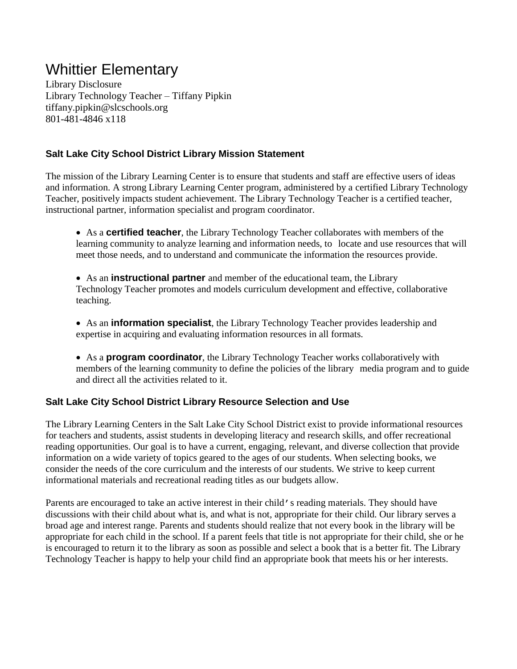# Whittier Elementary

Library Disclosure Library Technology Teacher – Tiffany Pipkin tiffany.pipkin@slcschools.org 801-481-4846 x118

## **Salt Lake City School District Library Mission Statement**

The mission of the Library Learning Center is to ensure that students and staff are effective users of ideas and information. A strong Library Learning Center program, administered by a certified Library Technology Teacher, positively impacts student achievement. The Library Technology Teacher is a certified teacher, instructional partner, information specialist and program coordinator.

- As a **certified teacher**, the Library Technology Teacher collaborates with members of the learning community to analyze learning and information needs, to locate and use resources that will meet those needs, and to understand and communicate the information the resources provide.
- As an **instructional partner** and member of the educational team, the Library Technology Teacher promotes and models curriculum development and effective, collaborative teaching.
- As an **information specialist**, the Library Technology Teacher provides leadership and expertise in acquiring and evaluating information resources in all formats.
- As a **program coordinator**, the Library Technology Teacher works collaboratively with members of the learning community to define the policies of the library media program and to guide and direct all the activities related to it.

# **Salt Lake City School District Library Resource Selection and Use**

The Library Learning Centers in the Salt Lake City School District exist to provide informational resources for teachers and students, assist students in developing literacy and research skills, and offer recreational reading opportunities. Our goal is to have a current, engaging, relevant, and diverse collection that provide information on a wide variety of topics geared to the ages of our students. When selecting books, we consider the needs of the core curriculum and the interests of our students. We strive to keep current informational materials and recreational reading titles as our budgets allow.

Parents are encouraged to take an active interest in their child's reading materials. They should have discussions with their child about what is, and what is not, appropriate for their child. Our library serves a broad age and interest range. Parents and students should realize that not every book in the library will be appropriate for each child in the school. If a parent feels that title is not appropriate for their child, she or he is encouraged to return it to the library as soon as possible and select a book that is a better fit. The Library Technology Teacher is happy to help your child find an appropriate book that meets his or her interests.